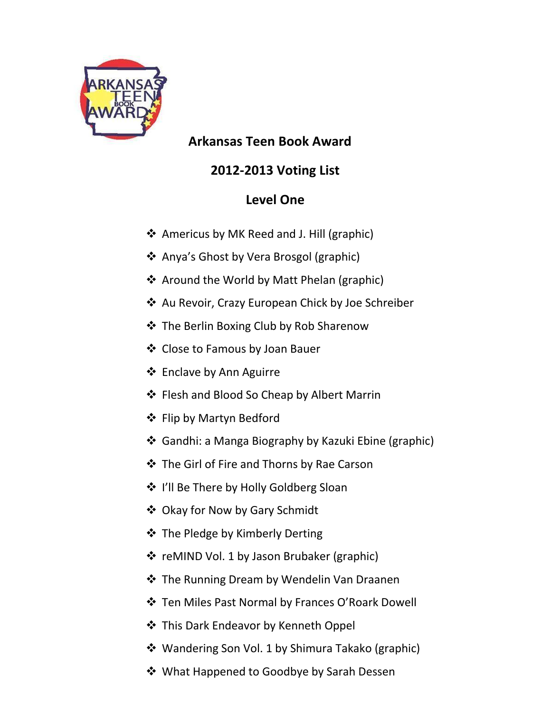

 **Arkansas Teen Book Award**

## **2012-2013 Voting List**

## **Level One**

- ❖ Americus by MK Reed and J. Hill (graphic)
- ❖ Anya's Ghost by Vera Brosgol (graphic)
- ❖ Around the World by Matt Phelan (graphic)
- Au Revoir, Crazy European Chick by Joe Schreiber
- The Berlin Boxing Club by Rob Sharenow
- ❖ Close to Famous by Joan Bauer
- ❖ Enclave by Ann Aguirre
- ❖ Flesh and Blood So Cheap by Albert Marrin
- ❖ Flip by Martyn Bedford
- Gandhi: a Manga Biography by Kazuki Ebine (graphic)
- **❖** The Girl of Fire and Thorns by Rae Carson
- ❖ I'll Be There by Holly Goldberg Sloan
- Okay for Now by Gary Schmidt
- $\triangle$  The Pledge by Kimberly Derting
- ❖ reMIND Vol. 1 by Jason Brubaker (graphic)
- ❖ The Running Dream by Wendelin Van Draanen
- Ten Miles Past Normal by Frances O'Roark Dowell
- **❖** This Dark Endeavor by Kenneth Oppel
- Wandering Son Vol. 1 by Shimura Takako (graphic)
- ❖ What Happened to Goodbye by Sarah Dessen